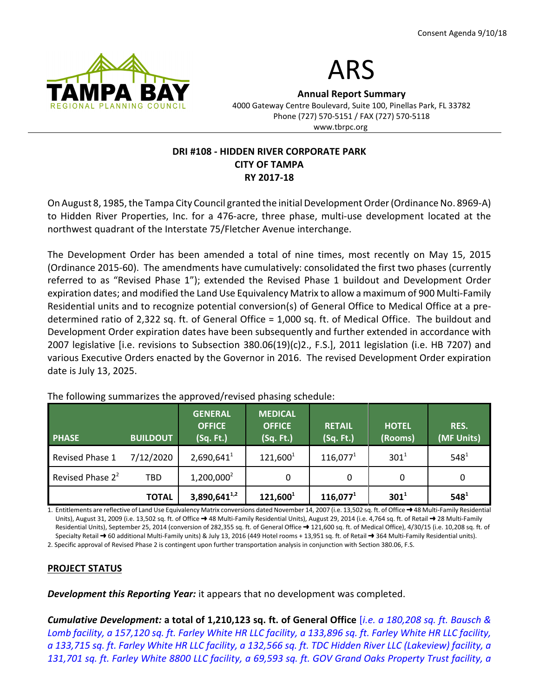



Annual Report Summary

4000 Gateway Centre Boulevard, Suite 100, Pinellas Park, FL 33782 Phone (727) 570-5151 / FAX (727) 570-5118 www.tbrpc.org

### DRI #108 - HIDDEN RIVER CORPORATE PARK CITY OF TAMPA RY 2017-18

On August 8, 1985, the Tampa City Council granted the initial Development Order (Ordinance No. 8969-A) to Hidden River Properties, Inc. for a 476-acre, three phase, multi-use development located at the northwest quadrant of the Interstate 75/Fletcher Avenue interchange.

The Development Order has been amended a total of nine times, most recently on May 15, 2015 (Ordinance 2015-60). The amendments have cumulatively: consolidated the first two phases (currently referred to as "Revised Phase 1"); extended the Revised Phase 1 buildout and Development Order expiration dates; and modified the Land Use Equivalency Matrix to allow a maximum of 900 Multi-Family Residential units and to recognize potential conversion(s) of General Office to Medical Office at a predetermined ratio of 2,322 sq. ft. of General Office = 1,000 sq. ft. of Medical Office. The buildout and Development Order expiration dates have been subsequently and further extended in accordance with 2007 legislative [i.e. revisions to Subsection 380.06(19)(c)2., F.S.], 2011 legislation (i.e. HB 7207) and various Executive Orders enacted by the Governor in 2016. The revised Development Order expiration date is July 13, 2025.

| <b>PHASE</b>                 | <b>BUILDOUT</b> | <b>GENERAL</b><br><b>OFFICE</b><br>(Sq. Ft.) | <b>MEDICAL</b><br><b>OFFICE</b><br>(Sq. Ft.) | <b>RETAIL</b><br>(Sq. Ft.) | <b>HOTEL</b><br>(Rooms) | RES.<br>(MF Units) |
|------------------------------|-----------------|----------------------------------------------|----------------------------------------------|----------------------------|-------------------------|--------------------|
| Revised Phase 1              | 7/12/2020       | 2,690,641 <sup>1</sup>                       | $121,600^1$                                  | $116,077^1$                | $301^{1}$               | $548^{1}$          |
| Revised Phase 2 <sup>2</sup> | <b>TBD</b>      | $1,200,000^2$                                | 0                                            | 0                          | 0                       | 0                  |
|                              | <b>TOTAL</b>    | $3,890,641^{1,2}$                            | $121,600^1$                                  | $116,077^1$                | $301^1$                 | $548^{1}$          |

The following summarizes the approved/revised phasing schedule:

1. Entitlements are reflective of Land Use Equivalency Matrix conversions dated November 14, 2007 (i.e. 13,502 sq. ft. of Office  $\rightarrow$  48 Multi-Family Residential Units), August 31, 2009 (i.e. 13,502 sq. ft. of Office → 48 Multi-Family Residential Units), August 29, 2014 (i.e. 4,764 sq. ft. of Retail → 28 Multi-Family Residential Units), September 25, 2014 (conversion of 282,355 sq. ft. of General Office  $\rightarrow$  121,600 sq. ft. of Medical Office), 4/30/15 (i.e. 10,208 sq. ft. of Specialty Retail  $\rightarrow$  60 additional Multi-Family units) & July 13, 2016 (449 Hotel rooms + 13,951 sq. ft. of Retail  $\rightarrow$  364 Multi-Family Residential units).

2. Specific approval of Revised Phase 2 is contingent upon further transportation analysis in conjunction with Section 380.06, F.S.

# PROJECT STATUS

**Development this Reporting Year:** it appears that no development was completed.

Cumulative Development: a total of 1,210,123 sq. ft. of General Office *[i.e. a 180,208 sq. ft. Bausch &* Lomb facility, a 157,120 sq. ft. Farley White HR LLC facility, a 133,896 sq. ft. Farley White HR LLC facility, a 133,715 sq. ft. Farley White HR LLC facility, a 132,566 sq. ft. TDC Hidden River LLC (Lakeview) facility, a 131,701 sq. ft. Farley White 8800 LLC facility, a 69,593 sq. ft. GOV Grand Oaks Property Trust facility, a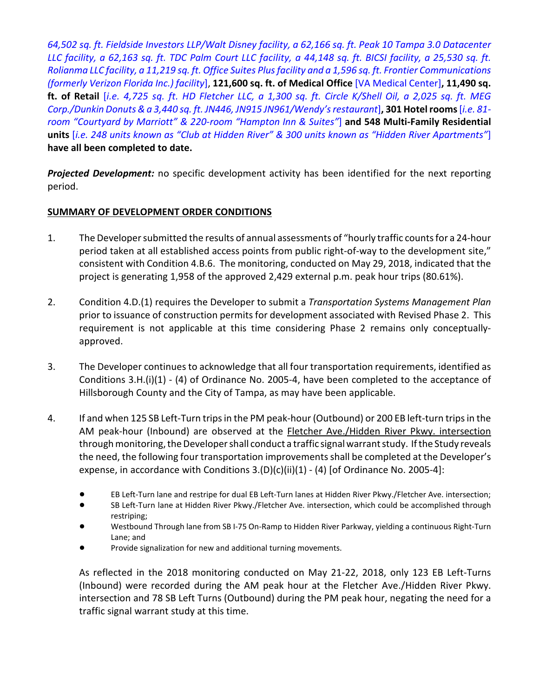64,502 sq. ft. Fieldside Investors LLP/Walt Disney facility, a 62,166 sq. ft. Peak 10 Tampa 3.0 Datacenter LLC facility, a 62,163 sq. ft. TDC Palm Court LLC facility, a 44,148 sq. ft. BICSI facility, a 25,530 sq. ft. Rolianma LLC facility, a 11,219 sq. ft. Office Suites Plus facility and a 1,596 sq. ft. Frontier Communications (formerly Verizon Florida Inc.) facility], 121,600 sq. ft. of Medical Office [VA Medical Center], 11,490 sq. ft. of Retail [i.e. 4,725 sq. ft. HD Fletcher LLC, a 1,300 sq. ft. Circle K/Shell Oil, a 2,025 sq. ft. MEG Corp./Dunkin Donuts & a 3,440 sq. ft. JN446, JN915 JN961/Wendy's restaurant], 301 Hotel rooms [i.e. 81room "Courtyard by Marriott" & 220-room "Hampton Inn & Suites"] and 548 Multi-Family Residential units [i.e. 248 units known as "Club at Hidden River" & 300 units known as "Hidden River Apartments"] have all been completed to date.

Projected Development: no specific development activity has been identified for the next reporting period.

### SUMMARY OF DEVELOPMENT ORDER CONDITIONS

- 1. The Developer submitted the results of annual assessments of "hourly traffic counts for a 24-hour period taken at all established access points from public right-of-way to the development site," consistent with Condition 4.B.6. The monitoring, conducted on May 29, 2018, indicated that the project is generating 1,958 of the approved 2,429 external p.m. peak hour trips (80.61%).
- 2. Condition 4.D.(1) requires the Developer to submit a Transportation Systems Management Plan prior to issuance of construction permits for development associated with Revised Phase 2. This requirement is not applicable at this time considering Phase 2 remains only conceptuallyapproved.
- 3. The Developer continues to acknowledge that all four transportation requirements, identified as Conditions 3.H.(i)(1) - (4) of Ordinance No. 2005-4, have been completed to the acceptance of Hillsborough County and the City of Tampa, as may have been applicable.
- 4. If and when 125 SB Left-Turn trips in the PM peak-hour (Outbound) or 200 EB left-turn trips in the AM peak-hour (Inbound) are observed at the Fletcher Ave./Hidden River Pkwy. intersection through monitoring, the Developer shall conduct a traffic signal warrant study. If the Study reveals the need, the following four transportation improvements shall be completed at the Developer's expense, in accordance with Conditions  $3.(D)(c)(ii)(1) - (4)$  [of Ordinance No. 2005-4]:
	- ! EB Left-Turn lane and restripe for dual EB Left-Turn lanes at Hidden River Pkwy./Fletcher Ave. intersection;
	- ! SB Left-Turn lane at Hidden River Pkwy./Fletcher Ave. intersection, which could be accomplished through restriping;
	- ! Westbound Through lane from SB I-75 On-Ramp to Hidden River Parkway, yielding a continuous Right-Turn Lane; and
	- Provide signalization for new and additional turning movements.

As reflected in the 2018 monitoring conducted on May 21-22, 2018, only 123 EB Left-Turns (Inbound) were recorded during the AM peak hour at the Fletcher Ave./Hidden River Pkwy. intersection and 78 SB Left Turns (Outbound) during the PM peak hour, negating the need for a traffic signal warrant study at this time.